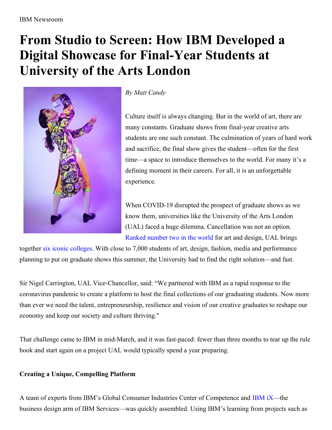## **From Studio to Screen: How IBM Developed a Digital Showcase for Final-Year Students at University of the Arts London**



## *By Matt Candy*

Culture itself is always changing. But in the world of art, there are many constants. Graduate shows from final-year creative arts students are one such constant. The culmination of years of hard work and sacrifice, the final show gives the student—often for the first time—a space to introduce themselves to the world. For many it's a defining moment in their careers. For all, it is an unforgettable experience.

When COVID-19 disrupted the prospect of graduate shows as we know them, universities like the University of the Arts London (UAL) faced a huge dilemma. Cancellation was not an option. Ranked [number](https://www.topuniversities.com/university-rankings/university-subject-rankings/2020/art-design) two in the world for art and design, UAL brings

together six iconic [colleges.](https://www.arts.ac.uk/colleges) With close to 7,000 students of art, design, fashion, media and performance planning to put on graduate shows this summer, the University had to find the right solution—and fast.

Sir Nigel Carrington, UAL Vice-Chancellor, said: "We partnered with IBM as a rapid response to the coronavirus pandemic to create a platform to host the final collections of our graduating students. Now more than ever we need the talent, entrepreneurship, resilience and vision of our creative graduates to reshape our economy and keep our society and culture thriving."

That challenge came to IBM in mid-March, and it was fast-paced: fewer than three months to tear up the rule book and start again on a project UAL would typically spend a year preparing.

## **Creating a Unique, Compelling Platform**

A team of experts from IBM's Global Consumer Industries Center of Competence and [IBM](https://www.ibm.com/services/ibmix/) iX—the business design arm of IBM Services—was quickly assembled. Using IBM's learning from projects such as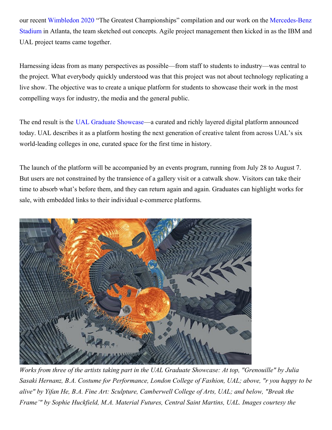our recent [Wimbledon](https://www.ibm.com/thought-leadership/wimbledon/uk-en/index.html) 2020 "The Greatest [Championships"](https://www.ibm.com/case-studies/mercedes-benz-stadium) compilation and our work on the Mercedes-Benz Stadium in Atlanta, the team sketched out concepts. Agile project management then kicked in as the IBM and UAL project teams came together.

Harnessing ideas from as many perspectives as possible—from staff to students to industry—was central to the project. What everybody quickly understood was that this project was not about technology replicating a live show. The objective was to create a unique platform for students to showcase their work in the most compelling ways for industry, the media and the general public.

The end result is the UAL Graduate [Showcase](https://graduateshowcase.arts.ac.uk/)—a curated and richly layered digital platform announced today. UAL describes it as a platform hosting the next generation of creative talent from across UAL's six world-leading colleges in one, curated space for the first time in history.

The launch of the platform will be accompanied by an events program, running from July 28 to August 7. But users are not constrained by the transience of a gallery visit or a catwalk show. Visitors can take their time to absorb what's before them, and they can return again and again. Graduates can highlight works for sale, with embedded links to their individual e-commerce platforms.



Works from three of the artists taking part in the UAL Graduate Showcase: At top, "Grenouille" by Julia *Sasaki Hernanz, B.A. Costume for Performance, London College of Fashion, UAL; above, "r you happy to be alive" by Yifan He, B.A. Fine Art: Sculpture, Camberwell College of Arts, UAL; and below, "Break the Frame'" by Sophie Huckfield, M.A. Material Futures, Central Saint Martins, UAL. Images courtesy the*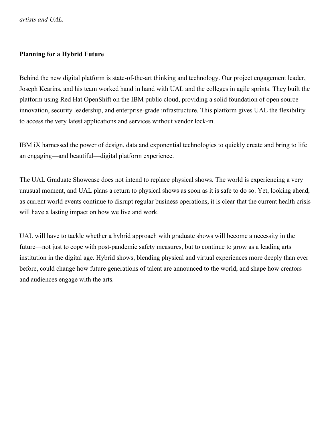*artists and UAL.*

## **Planning for a Hybrid Future**

Behind the new digital platform is state-of-the-art thinking and technology. Our project engagement leader, Joseph Kearins, and his team worked hand in hand with UAL and the colleges in agile sprints. They built the platform using Red Hat OpenShift on the IBM public cloud, providing a solid foundation of open source innovation, security leadership, and enterprise-grade infrastructure. This platform gives UAL the flexibility to access the very latest applications and services without vendor lock-in.

IBM iX harnessed the power of design, data and exponential technologies to quickly create and bring to life an engaging—and beautiful—digital platform experience.

The UAL Graduate Showcase does not intend to replace physical shows. The world is experiencing a very unusual moment, and UAL plans a return to physical shows as soon as it is safe to do so. Yet, looking ahead, as current world events continue to disrupt regular business operations, it is clear that the current health crisis will have a lasting impact on how we live and work.

UAL will have to tackle whether a hybrid approach with graduate shows will become a necessity in the future—not just to cope with post-pandemic safety measures, but to continue to grow as a leading arts institution in the digital age. Hybrid shows, blending physical and virtual experiences more deeply than ever before, could change how future generations of talent are announced to the world, and shape how creators and audiences engage with the arts.